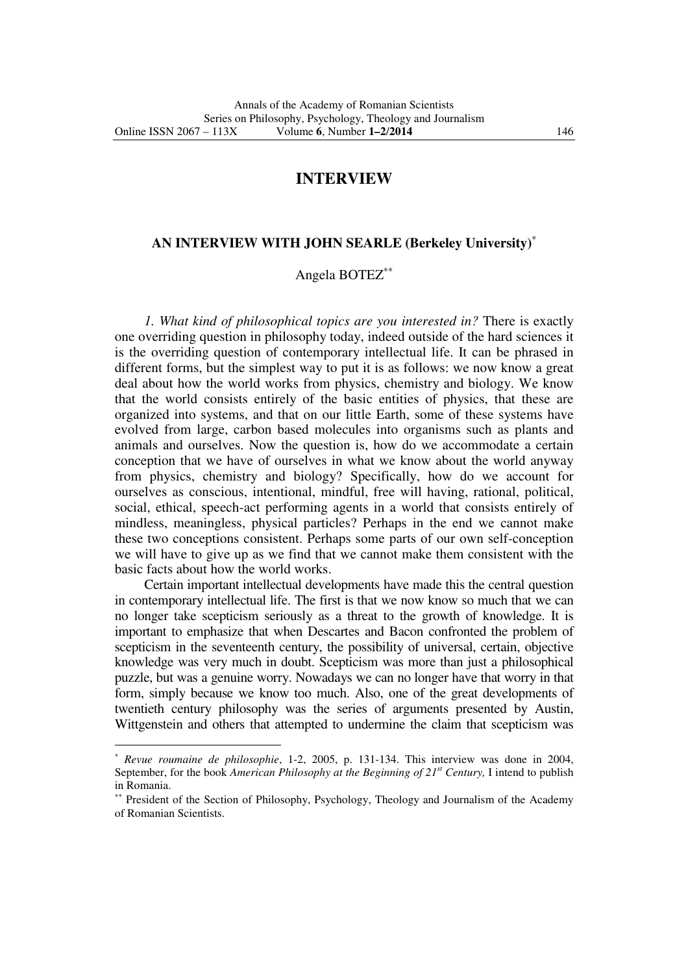## **INTERVIEW**

## **AN INTERVIEW WITH JOHN SEARLE (Berkeley University)**<sup>∗</sup>

## Angela BOTEZ∗∗

*1. What kind of philosophical topics are you interested in?* There is exactly one overriding question in philosophy today, indeed outside of the hard sciences it is the overriding question of contemporary intellectual life. It can be phrased in different forms, but the simplest way to put it is as follows: we now know a great deal about how the world works from physics, chemistry and biology. We know that the world consists entirely of the basic entities of physics, that these are organized into systems, and that on our little Earth, some of these systems have evolved from large, carbon based molecules into organisms such as plants and animals and ourselves. Now the question is, how do we accommodate a certain conception that we have of ourselves in what we know about the world anyway from physics, chemistry and biology? Specifically, how do we account for ourselves as conscious, intentional, mindful, free will having, rational, political, social, ethical, speech-act performing agents in a world that consists entirely of mindless, meaningless, physical particles? Perhaps in the end we cannot make these two conceptions consistent. Perhaps some parts of our own self-conception we will have to give up as we find that we cannot make them consistent with the basic facts about how the world works.

Certain important intellectual developments have made this the central question in contemporary intellectual life. The first is that we now know so much that we can no longer take scepticism seriously as a threat to the growth of knowledge. It is important to emphasize that when Descartes and Bacon confronted the problem of scepticism in the seventeenth century, the possibility of universal, certain, objective knowledge was very much in doubt. Scepticism was more than just a philosophical puzzle, but was a genuine worry. Nowadays we can no longer have that worry in that form, simply because we know too much. Also, one of the great developments of twentieth century philosophy was the series of arguments presented by Austin, Wittgenstein and others that attempted to undermine the claim that scepticism was

 $\overline{a}$ 

<sup>∗</sup> *Revue roumaine de philosophie*, 1-2, 2005, p. 131-134. This interview was done in 2004, September, for the book *American Philosophy at the Beginning of 21st Century,* I intend to publish in Romania.

<sup>∗∗</sup> President of the Section of Philosophy, Psychology, Theology and Journalism of the Academy of Romanian Scientists.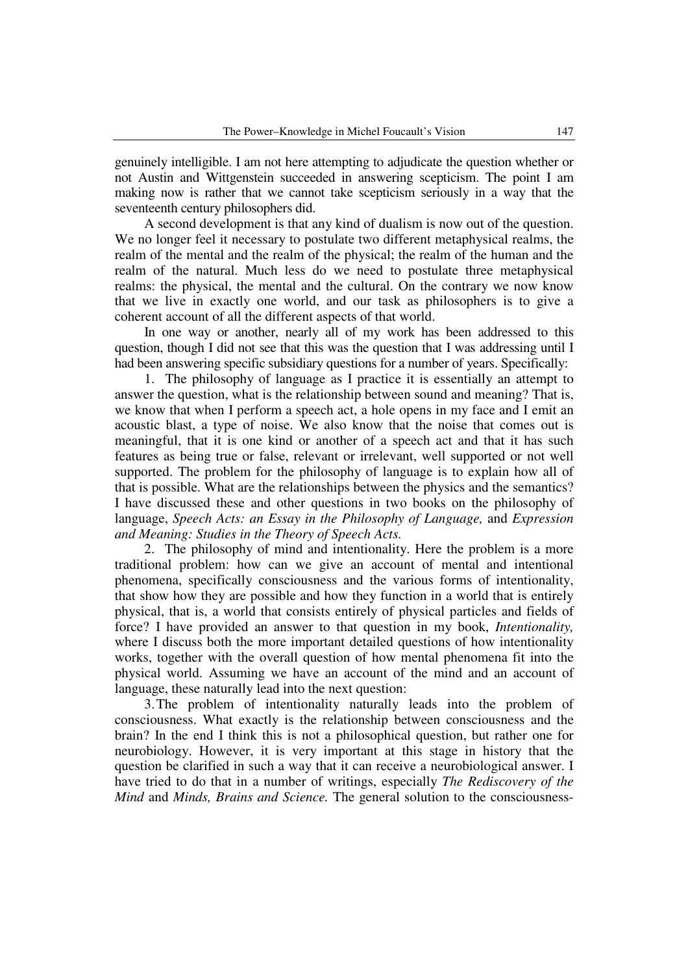genuinely intelligible. I am not here attempting to adjudicate the question whether or not Austin and Wittgenstein succeeded in answering scepticism. The point I am making now is rather that we cannot take scepticism seriously in a way that the seventeenth century philosophers did.

A second development is that any kind of dualism is now out of the question. We no longer feel it necessary to postulate two different metaphysical realms, the realm of the mental and the realm of the physical; the realm of the human and the realm of the natural. Much less do we need to postulate three metaphysical realms: the physical, the mental and the cultural. On the contrary we now know that we live in exactly one world, and our task as philosophers is to give a coherent account of all the different aspects of that world.

In one way or another, nearly all of my work has been addressed to this question, though I did not see that this was the question that I was addressing until I had been answering specific subsidiary questions for a number of years. Specifically:

1. The philosophy of language as I practice it is essentially an attempt to answer the question, what is the relationship between sound and meaning? That is, we know that when I perform a speech act, a hole opens in my face and I emit an acoustic blast, a type of noise. We also know that the noise that comes out is meaningful, that it is one kind or another of a speech act and that it has such features as being true or false, relevant or irrelevant, well supported or not well supported. The problem for the philosophy of language is to explain how all of that is possible. What are the relationships between the physics and the semantics? I have discussed these and other questions in two books on the philosophy of language, *Speech Acts: an Essay in the Philosophy of Language,* and *Expression and Meaning: Studies in the Theory of Speech Acts.*

2.The philosophy of mind and intentionality. Here the problem is a more traditional problem: how can we give an account of mental and intentional phenomena, specifically consciousness and the various forms of intentionality, that show how they are possible and how they function in a world that is entirely physical, that is, a world that consists entirely of physical particles and fields of force? I have provided an answer to that question in my book, *Intentionality,*  where I discuss both the more important detailed questions of how intentionality works, together with the overall question of how mental phenomena fit into the physical world. Assuming we have an account of the mind and an account of language, these naturally lead into the next question:

3.The problem of intentionality naturally leads into the problem of consciousness. What exactly is the relationship between consciousness and the brain? In the end I think this is not a philosophical question, but rather one for neurobiology. However, it is very important at this stage in history that the question be clarified in such a way that it can receive a neurobiological answer. I have tried to do that in a number of writings, especially *The Rediscovery of the Mind* and *Minds, Brains and Science.* The general solution to the consciousness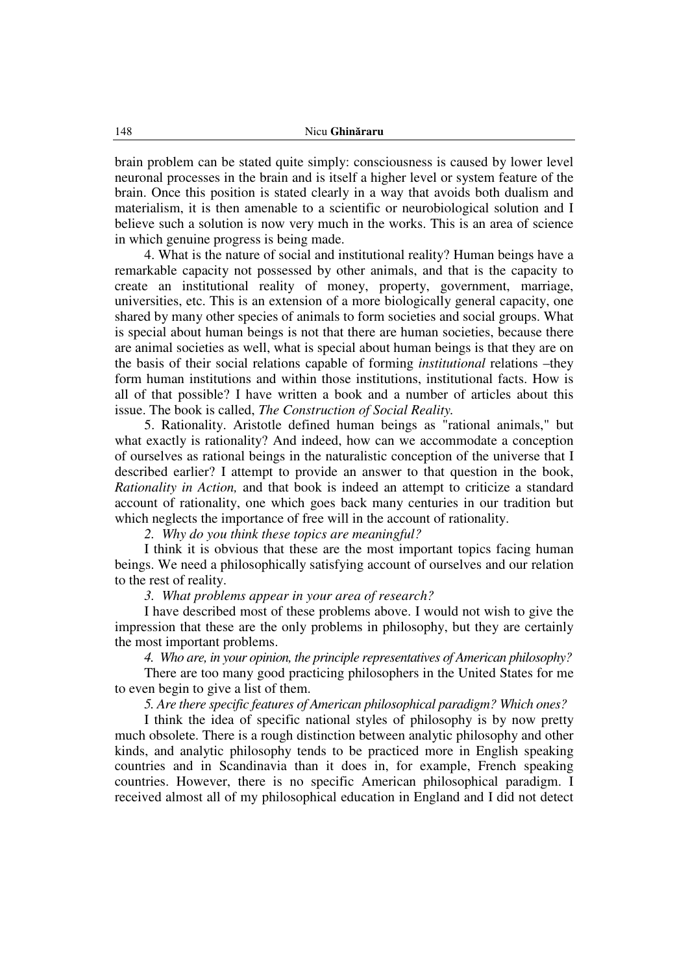brain problem can be stated quite simply: consciousness is caused by lower level neuronal processes in the brain and is itself a higher level or system feature of the brain. Once this position is stated clearly in a way that avoids both dualism and materialism, it is then amenable to a scientific or neurobiological solution and I believe such a solution is now very much in the works. This is an area of science in which genuine progress is being made.

4. What is the nature of social and institutional reality? Human beings have a remarkable capacity not possessed by other animals, and that is the capacity to create an institutional reality of money, property, government, marriage, universities, etc. This is an extension of a more biologically general capacity, one shared by many other species of animals to form societies and social groups. What is special about human beings is not that there are human societies, because there are animal societies as well, what is special about human beings is that they are on the basis of their social relations capable of forming *institutional* relations –they form human institutions and within those institutions, institutional facts. How is all of that possible? I have written a book and a number of articles about this issue. The book is called, *The Construction of Social Reality.*

5. Rationality. Aristotle defined human beings as "rational animals," but what exactly is rationality? And indeed, how can we accommodate a conception of ourselves as rational beings in the naturalistic conception of the universe that I described earlier? I attempt to provide an answer to that question in the book, *Rationality in Action,* and that book is indeed an attempt to criticize a standard account of rationality, one which goes back many centuries in our tradition but which neglects the importance of free will in the account of rationality.

*2. Why do you think these topics are meaningful?* 

I think it is obvious that these are the most important topics facing human beings. We need a philosophically satisfying account of ourselves and our relation to the rest of reality.

*3. What problems appear in your area of research?* 

I have described most of these problems above. I would not wish to give the impression that these are the only problems in philosophy, but they are certainly the most important problems.

*4. Who are, in your opinion, the principle representatives of American philosophy?*

There are too many good practicing philosophers in the United States for me to even begin to give a list of them.

*5. Are there specific features of American philosophical paradigm? Which ones?*

I think the idea of specific national styles of philosophy is by now pretty much obsolete. There is a rough distinction between analytic philosophy and other kinds, and analytic philosophy tends to be practiced more in English speaking countries and in Scandinavia than it does in, for example, French speaking countries. However, there is no specific American philosophical paradigm. I received almost all of my philosophical education in England and I did not detect